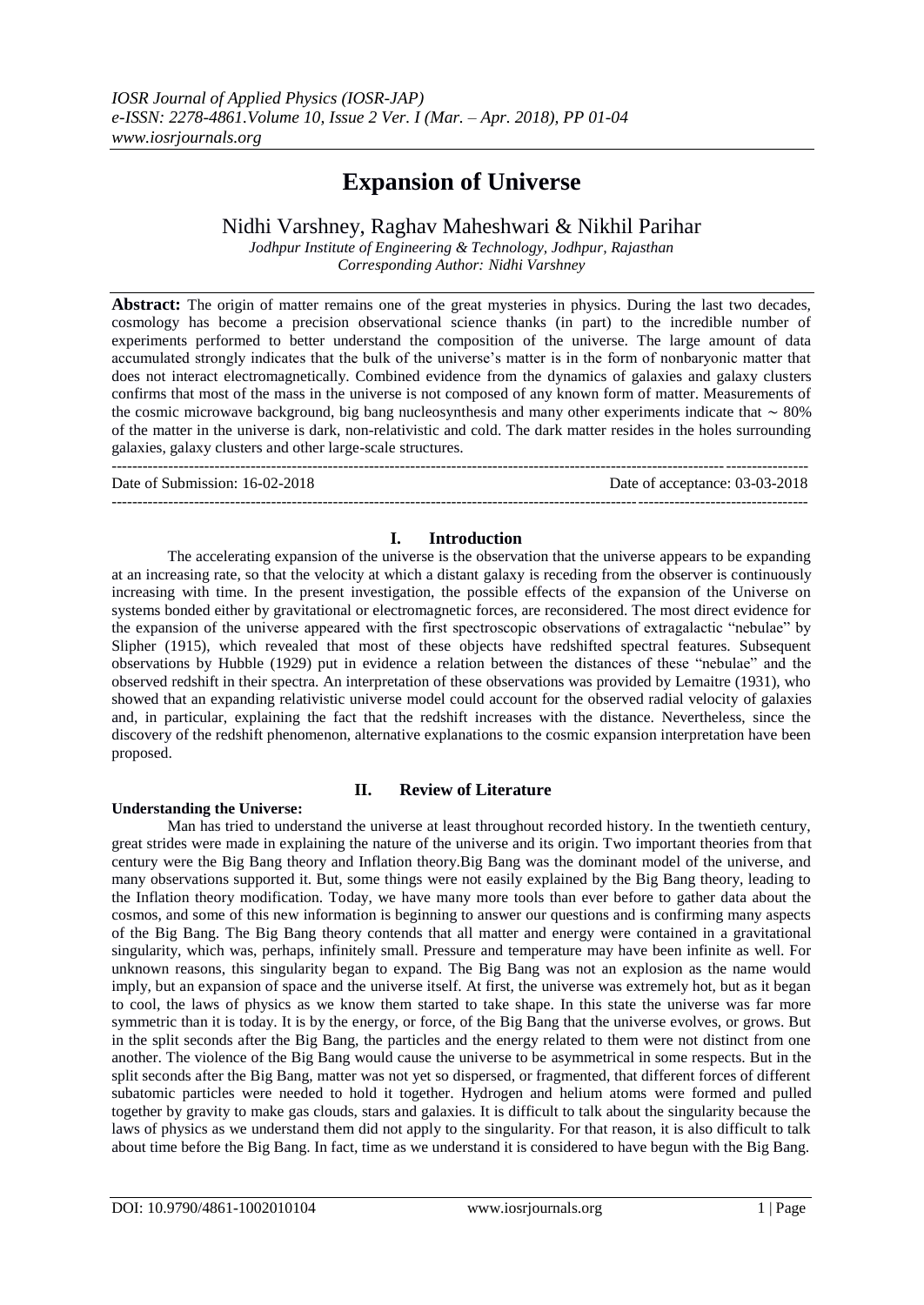# **Expansion of Universe**

Nidhi Varshney, Raghav Maheshwari & Nikhil Parihar

*Jodhpur Institute of Engineering & Technology, Jodhpur, Rajasthan Corresponding Author: Nidhi Varshney*

**Abstract:** The origin of matter remains one of the great mysteries in physics. During the last two decades, cosmology has become a precision observational science thanks (in part) to the incredible number of experiments performed to better understand the composition of the universe. The large amount of data accumulated strongly indicates that the bulk of the universe's matter is in the form of nonbaryonic matter that does not interact electromagnetically. Combined evidence from the dynamics of galaxies and galaxy clusters confirms that most of the mass in the universe is not composed of any known form of matter. Measurements of the cosmic microwave background, big bang nucleosynthesis and many other experiments indicate that ∼ 80% of the matter in the universe is dark, non-relativistic and cold. The dark matter resides in the holes surrounding galaxies, galaxy clusters and other large-scale structures.

--------------------------------------------------------------------------------------------------------------------------------------- Date of Submission: 16-02-2018 Date of acceptance: 03-03-2018 ---------------------------------------------------------------------------------------------------------------------------------------

# **I. Introduction**

The accelerating expansion of the universe is the observation that the universe appears to be expanding at an increasing rate, so that the velocity at which a distant galaxy is receding from the observer is continuously increasing with time. In the present investigation, the possible effects of the expansion of the Universe on systems bonded either by gravitational or electromagnetic forces, are reconsidered. The most direct evidence for the expansion of the universe appeared with the first spectroscopic observations of extragalactic "nebulae" by Slipher (1915), which revealed that most of these objects have redshifted spectral features. Subsequent observations by Hubble (1929) put in evidence a relation between the distances of these "nebulae" and the observed redshift in their spectra. An interpretation of these observations was provided by Lemaitre (1931), who showed that an expanding relativistic universe model could account for the observed radial velocity of galaxies and, in particular, explaining the fact that the redshift increases with the distance. Nevertheless, since the discovery of the redshift phenomenon, alternative explanations to the cosmic expansion interpretation have been proposed.

## **Understanding the Universe:**

## **II. Review of Literature**

Man has tried to understand the universe at least throughout recorded history. In the twentieth century, great strides were made in explaining the nature of the universe and its origin. Two important theories from that century were the Big Bang theory and Inflation theory.Big Bang was the dominant model of the universe, and many observations supported it. But, some things were not easily explained by the Big Bang theory, leading to the Inflation theory modification. Today, we have many more tools than ever before to gather data about the cosmos, and some of this new information is beginning to answer our questions and is confirming many aspects of the Big Bang. The Big Bang theory contends that all matter and energy were contained in a gravitational singularity, which was, perhaps, infinitely small. Pressure and temperature may have been infinite as well. For unknown reasons, this singularity began to expand. The Big Bang was not an explosion as the name would imply, but an expansion of space and the universe itself. At first, the universe was extremely hot, but as it began to cool, the laws of physics as we know them started to take shape. In this state the universe was far more symmetric than it is today. It is by the energy, or force, of the Big Bang that the universe evolves, or grows. But in the split seconds after the Big Bang, the particles and the energy related to them were not distinct from one another. The violence of the Big Bang would cause the universe to be asymmetrical in some respects. But in the split seconds after the Big Bang, matter was not yet so dispersed, or fragmented, that different forces of different subatomic particles were needed to hold it together. Hydrogen and helium atoms were formed and pulled together by gravity to make gas clouds, stars and galaxies. It is difficult to talk about the singularity because the laws of physics as we understand them did not apply to the singularity. For that reason, it is also difficult to talk about time before the Big Bang. In fact, time as we understand it is considered to have begun with the Big Bang.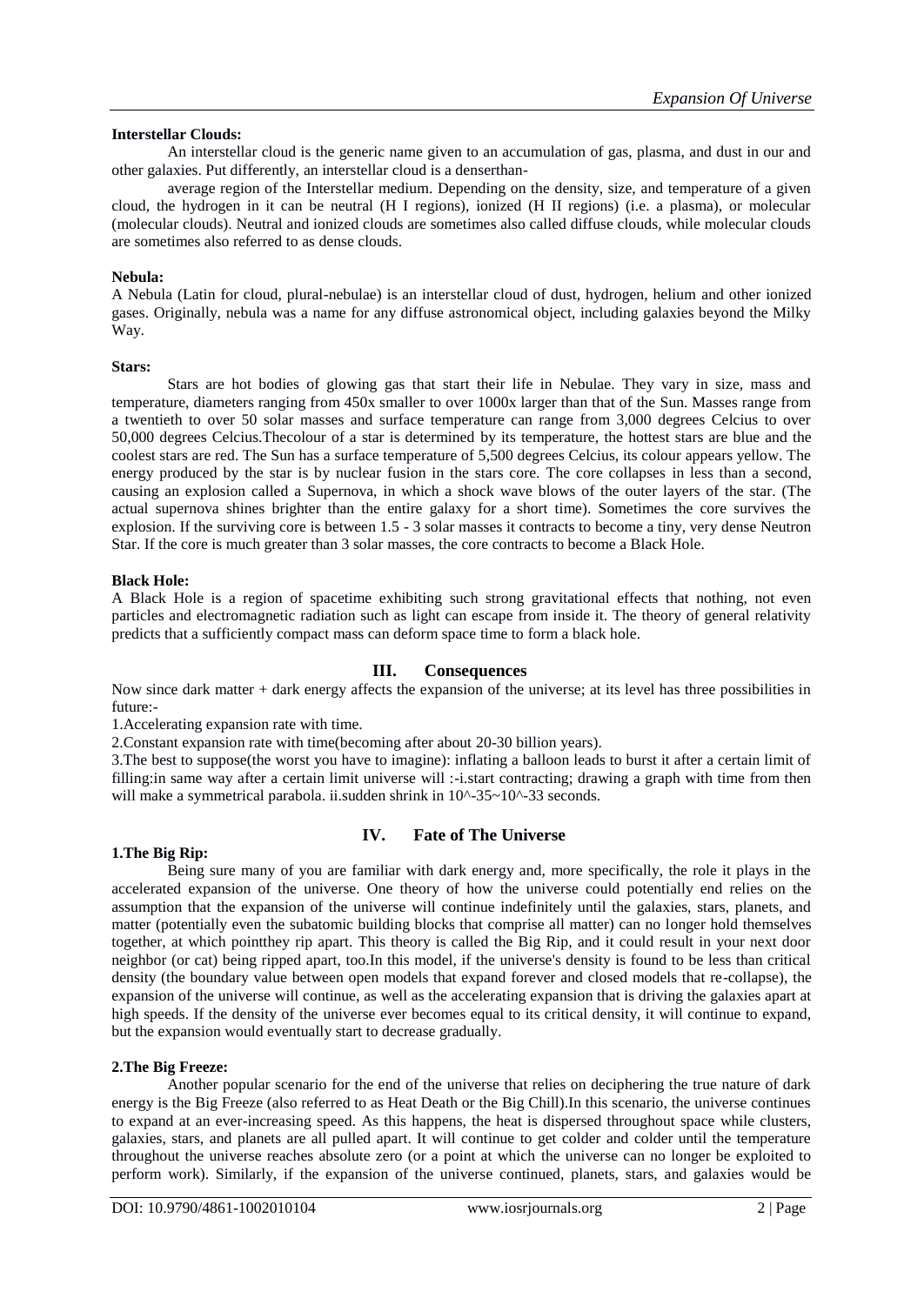## **Interstellar Clouds:**

An interstellar cloud is the generic name given to an accumulation of gas, plasma, and dust in our and other galaxies. Put differently, an interstellar cloud is a denserthan-

average region of the Interstellar medium. Depending on the density, size, and temperature of a given cloud, the hydrogen in it can be neutral (H I regions), ionized (H II regions) (i.e. a plasma), or molecular (molecular clouds). Neutral and ionized clouds are sometimes also called diffuse clouds, while molecular clouds are sometimes also referred to as dense clouds.

## **Nebula:**

A Nebula (Latin for cloud, plural-nebulae) is an interstellar cloud of dust, hydrogen, helium and other ionized gases. Originally, nebula was a name for any diffuse astronomical object, including galaxies beyond the Milky Way.

## **Stars:**

Stars are hot bodies of glowing gas that start their life in Nebulae. They vary in size, mass and temperature, diameters ranging from 450x smaller to over 1000x larger than that of the Sun. Masses range from a twentieth to over 50 solar masses and surface temperature can range from 3,000 degrees Celcius to over 50,000 degrees Celcius.Thecolour of a star is determined by its temperature, the hottest stars are blue and the coolest stars are red. The Sun has a surface temperature of 5,500 degrees Celcius, its colour appears yellow. The energy produced by the star is by nuclear fusion in the stars core. The core collapses in less than a second, causing an explosion called a Supernova, in which a shock wave blows of the outer layers of the star. (The actual supernova shines brighter than the entire galaxy for a short time). Sometimes the core survives the explosion. If the surviving core is between 1.5 - 3 solar masses it contracts to become a tiny, very dense Neutron Star. If the core is much greater than 3 solar masses, the core contracts to become a Black Hole.

## **Black Hole:**

A Black Hole is a region of spacetime exhibiting such strong gravitational effects that nothing, not even particles and electromagnetic radiation such as light can escape from inside it. The theory of general relativity predicts that a sufficiently compact mass can deform space time to form a black hole.

# **III. Consequences**

Now since dark matter + dark energy affects the expansion of the universe; at its level has three possibilities in future:-

1.Accelerating expansion rate with time.

2.Constant expansion rate with time(becoming after about 20-30 billion years).

3.The best to suppose(the worst you have to imagine): inflating a balloon leads to burst it after a certain limit of filling: in same way after a certain limit universe will :-i.start contracting; drawing a graph with time from then will make a symmetrical parabola. ii.sudden shrink in  $10^{\circ}$ -35~10<sup> $\circ$ </sup>-33 seconds.

# **IV. Fate of The Universe**

## **1.The Big Rip:**

Being sure many of you are familiar with dark energy and, more specifically, the role it plays in the accelerated expansion of the universe. One theory of how the universe could potentially end relies on the assumption that the expansion of the universe will continue indefinitely until the galaxies, stars, planets, and matter (potentially even the subatomic building blocks that comprise all matter) can no longer hold themselves together, at which pointthey rip apart. This theory is called the Big Rip, and it could result in your next door neighbor (or cat) being ripped apart, too.In this model, if the universe's density is found to be less than critical density (the boundary value between open models that expand forever and closed models that re-collapse), the expansion of the universe will continue, as well as the accelerating expansion that is driving the galaxies apart at high speeds. If the density of the universe ever becomes equal to its critical density, it will continue to expand, but the expansion would eventually start to decrease gradually.

## **2.The Big Freeze:**

Another popular scenario for the end of the universe that relies on deciphering the true nature of dark energy is the Big Freeze (also referred to as Heat Death or the Big Chill).In this scenario, the universe continues to expand at an ever-increasing speed. As this happens, the heat is dispersed throughout space while clusters, galaxies, stars, and planets are all pulled apart. It will continue to get colder and colder until the temperature throughout the universe reaches absolute zero (or a point at which the universe can no longer be exploited to perform work). Similarly, if the expansion of the universe continued, planets, stars, and galaxies would be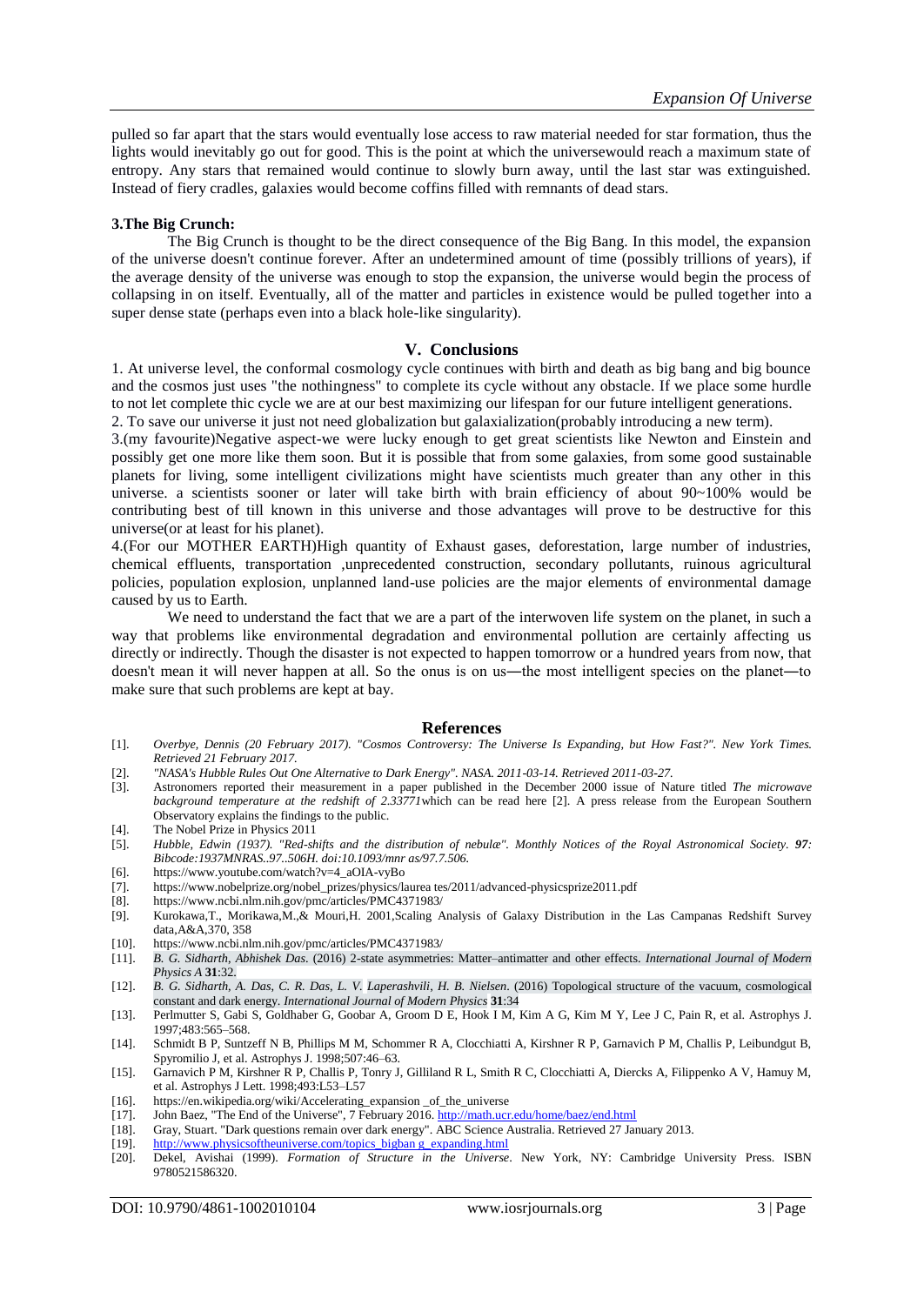pulled so far apart that the stars would eventually lose access to raw material needed for star formation, thus the lights would inevitably go out for good. This is the point at which the universewould reach a maximum state of entropy. Any stars that remained would continue to slowly burn away, until the last star was extinguished. Instead of fiery cradles, galaxies would become coffins filled with remnants of dead stars.

#### **3.The Big Crunch:**

The Big Crunch is thought to be the direct consequence of the Big Bang. In this model, the expansion of the universe doesn't continue forever. After an undetermined amount of time (possibly trillions of years), if the average density of the universe was enough to stop the expansion, the universe would begin the process of collapsing in on itself. Eventually, all of the matter and particles in existence would be pulled together into a super dense state (perhaps even into a black hole-like singularity).

#### **V. Conclusions**

1. At universe level, the conformal cosmology cycle continues with birth and death as big bang and big bounce and the cosmos just uses "the nothingness" to complete its cycle without any obstacle. If we place some hurdle to not let complete thic cycle we are at our best maximizing our lifespan for our future intelligent generations. 2. To save our universe it just not need globalization but galaxialization(probably introducing a new term).

3.(my favourite)Negative aspect-we were lucky enough to get great scientists like Newton and Einstein and possibly get one more like them soon. But it is possible that from some galaxies, from some good sustainable planets for living, some intelligent civilizations might have scientists much greater than any other in this universe. a scientists sooner or later will take birth with brain efficiency of about 90~100% would be contributing best of till known in this universe and those advantages will prove to be destructive for this universe(or at least for his planet).

4.(For our MOTHER EARTH)High quantity of Exhaust gases, deforestation, large number of industries, chemical effluents, transportation ,unprecedented construction, secondary pollutants, ruinous agricultural policies, population explosion, unplanned land-use policies are the major elements of environmental damage caused by us to Earth.

We need to understand the fact that we are a part of the interwoven life system on the planet, in such a way that problems like environmental degradation and environmental pollution are certainly affecting us directly or indirectly. Though the disaster is not expected to happen tomorrow or a hundred years from now, that doesn't mean it will never happen at all. So the onus is on us—the most intelligent species on the planet—to make sure that such problems are kept at bay.

#### **References**

- [1]. *Overbye, Dennis (20 February 2017). "Cosmos Controversy: The Universe Is Expanding, but How Fast?". New York Times. Retrieved 21 February 2017.*
- [2]. *"NASA's Hubble Rules Out One Alternative to Dark Energy". NASA. 2011-03-14. Retrieved 2011-03-27.*
- [3]. Astronomers reported their measurement in a paper published in the December 2000 issue of Nature titled *The microwave background temperature at the redshift of 2.33771*which can be read here [2]. A press release from the European Southern Observatory explains the findings to the public.
- [4]. The Nobel Prize in Physics 2011
- [5]. *Hubble, Edwin (1937). "Red-shifts and the distribution of nebulæ". Monthly Notices of the Royal Astronomical Society. 97: Bibcode:1937MNRAS..97..506H. doi:10.1093/mnr as/97.7.506.*
- [6]. https://www.youtube.com/watch?v=4\_aOIA-vyBo
- [7]. https://www.nobelprize.org/nobel\_prizes/physics/laurea tes/2011/advanced-physicsprize2011.pdf [8]. https://www.ncbi.nlm.nih.gov/pmc/articles/PMC4371983/
- https://www.ncbi.nlm.nih.gov/pmc/articles/PMC4371983/
- [9]. Kurokawa,T., Morikawa,M.,& Mouri,H. 2001,Scaling Analysis of Galaxy Distribution in the Las Campanas Redshift Survey data,A&A,370, 358
- [10]. https://www.ncbi.nlm.nih.gov/pmc/articles/PMC4371983/<br>[11]. B. G. Sidharth, Abhishek Das. (2016) 2-state asymmetries
- [11]. *B. G. Sidharth*, *Abhishek Das*. (2016) 2-state asymmetries: Matter–antimatter and other effects. *International Journal of Modern Physics A* **31**:32.
- [12]. *B. G. Sidharth*, *A. Das*, *C. R. Das*, *L. V. Laperashvili*, *H. B. Nielsen*. (2016) Topological structure of the vacuum, cosmological constant and dark energy. *International Journal of Modern Physics* **31**:34
- [13]. Perlmutter S, Gabi S, Goldhaber G, Goobar A, Groom D E, Hook I M, Kim A G, Kim M Y, Lee J C, Pain R, et al. Astrophys J. 1997;483:565–568.
- [14]. Schmidt B P, Suntzeff N B, Phillips M M, Schommer R A, Clocchiatti A, Kirshner R P, Garnavich P M, Challis P, Leibundgut B, Spyromilio J, et al. Astrophys J. 1998;507:46–63.
- [15]. Garnavich P M, Kirshner R P, Challis P, Tonry J, Gilliland R L, Smith R C, Clocchiatti A, Diercks A, Filippenko A V, Hamuy M, et al. Astrophys J Lett. 1998;493:L53–L57
- [16]. https://en.wikipedia.org/wiki/Accelerating\_expansion \_of\_the\_universe [17]. John Baez, "The End of the Universe", 7 February 2016. http://math.ucr
- John Baez, "The End of the Universe", 7 February 2016[. http://math.ucr.edu/home/baez/end.html](http://math.ucr.edu/home/baez/end.html)
- [18]. Gray, Stuart. "Dark questions remain over dark energy". ABC Science Australia. Retrieved 27 January 2013.
- [19]. [http://www.physicsoftheuniverse.com/topics\\_bigban g\\_expanding.html](http://www.physicsoftheuniverse.com/topics_bigban%20g_expanding.html)
- [20]. Dekel, Avishai (1999). *Formation of Structure in the Universe*. New York, NY: Cambridge University Press. ISBN 9780521586320.